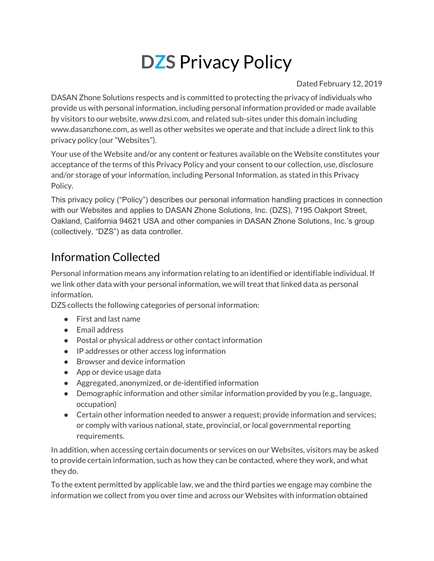# **DZS** Privacy Policy

#### Dated February 12, 2019

DASAN Zhone Solutions respects and is committed to protecting the privacy of individuals who provide us with personal information, including personal information provided or made available by visitors to our website, www.dzsi.com, and related sub-sites under this domain including www.dasanzhone.com, as well as other websites we operate and that include a direct link to this privacy policy (our "Websites").

Your use of the Website and/or any content or features available on the Website constitutes your acceptance of the terms of this Privacy Policy and your consent to our collection, use, disclosure and/or storage of your information, including Personal Information, as stated in this Privacy Policy.

This privacy policy ("Policy") describes our personal information handling practices in connection with our Websites and applies to DASAN Zhone Solutions, Inc. (DZS), 7195 Oakport Street, Oakland, California 94621 USA and other companies in DASAN Zhone Solutions, Inc.'s group (collectively, "DZS") as data controller.

#### Information Collected

Personal information means any information relating to an identified or identifiable individual. If we link other data with your personal information, we will treat that linked data as personal information.

DZS collects the following categories of personal information:

- First and last name
- Email address
- Postal or physical address or other contact information
- IP addresses or other access log information
- Browser and device information
- App or device usage data
- Aggregated, anonymized, or de-identified information
- Demographic information and other similar information provided by you (e.g., language, occupation)
- Certain other information needed to answer a request; provide information and services; or comply with various national, state, provincial, or local governmental reporting requirements.

In addition, when accessing certain documents or services on our Websites, visitors may be asked to provide certain information, such as how they can be contacted, where they work, and what they do.

To the extent permitted by applicable law, we and the third parties we engage may combine the information we collect from you over time and across our Websites with information obtained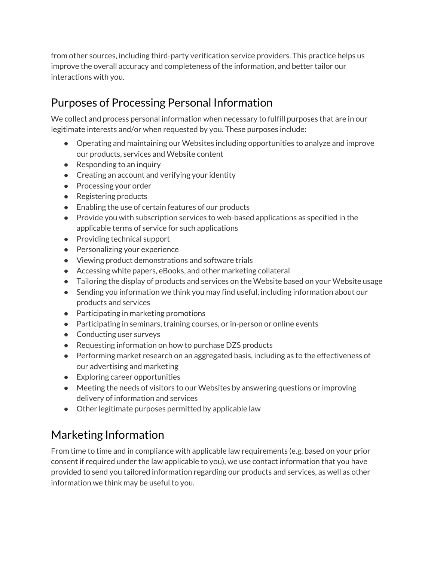from other sources, including third-party verification service providers. This practice helps us improve the overall accuracy and completeness of the information, and better tailor our interactions with you.

#### Purposes of Processing Personal Information

We collect and process personal information when necessary to fulfill purposes that are in our legitimate interests and/or when requested by you. These purposes include:

- Operating and maintaining our Websites including opportunities to analyze and improve our products, services and Website content
- Responding to an inquiry
- Creating an account and verifying your identity
- Processing your order
- Registering products
- Enabling the use of certain features of our products
- Provide you with subscription services to web-based applications as specified in the applicable terms of service for such applications
- Providing technical support
- Personalizing your experience
- Viewing product demonstrations and software trials
- Accessing white papers, eBooks, and other marketing collateral
- Tailoring the display of products and services on the Website based on your Website usage
- Sending you information we think you may find useful, including information about our products and services
- Participating in marketing promotions
- Participating in seminars, training courses, or in-person or online events
- Conducting user surveys
- Requesting information on how to purchase DZS products
- Performing market research on an aggregated basis, including as to the effectiveness of our advertising and marketing
- Exploring career opportunities
- Meeting the needs of visitors to our Websites by answering questions or improving delivery of information and services
- Other legitimate purposes permitted by applicable law

#### Marketing Information

From time to time and in compliance with applicable law requirements (e.g. based on your prior consent if required under the law applicable to you), we use contact information that you have provided to send you tailored information regarding our products and services, as well as other information we think may be useful to you.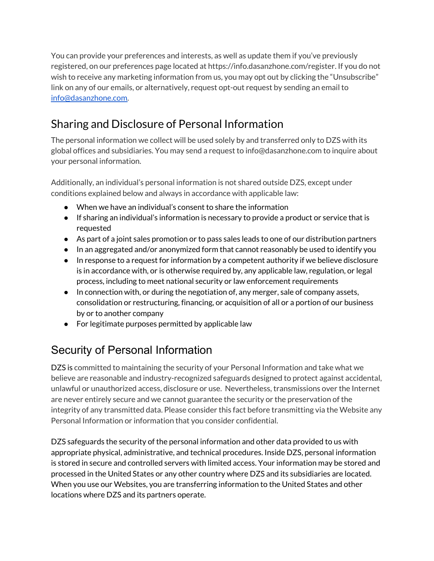You can provide your preferences and interests, as well as update them if you've previously registered, on our preferences page located at https://info.dasanzhone.com/register. If you do not wish to receive any marketing information from us, you may opt out by clicking the "Unsubscribe" link on any of our emails, or alternatively, request opt-out request by sending an email to [info@dasanzhone.com.](mailto:info@dasanzhone.com)

#### Sharing and Disclosure of Personal Information

The personal information we collect will be used solely by and transferred only to DZS with its global offices and subsidiaries. You may send a request to info@dasanzhone.com to inquire about your personal information.

Additionally, an individual's personal information is not shared outside DZS, except under conditions explained below and always in accordance with applicable law:

- When we have an individual's consent to share the information
- If sharing an individual's information is necessary to provide a product or service that is requested
- As part of a joint sales promotion or to pass sales leads to one of our distribution partners
- In an aggregated and/or anonymized form that cannot reasonably be used to identify you
- In response to a request for information by a competent authority if we believe disclosure is in accordance with, or is otherwise required by, any applicable law, regulation, or legal process, including to meet national security or law enforcement requirements
- In connection with, or during the negotiation of, any merger, sale of company assets, consolidation or restructuring, financing, or acquisition of all or a portion of our business by or to another company
- For legitimate purposes permitted by applicable law

### Security of Personal Information

DZS is committed to maintaining the security of your Personal Information and take what we believe are reasonable and industry-recognized safeguards designed to protect against accidental, unlawful or unauthorized access, disclosure or use. Nevertheless, transmissions over the Internet are never entirely secure and we cannot guarantee the security or the preservation of the integrity of any transmitted data. Please consider this fact before transmitting via the Website any Personal Information or information that you consider confidential.

DZS safeguards the security of the personal information and other data provided to us with appropriate physical, administrative, and technical procedures. Inside DZS, personal information is stored in secure and controlled servers with limited access. Your information may be stored and processed in the United States or any other country where DZS and its subsidiaries are located. When you use our Websites, you are transferring information to the United States and other locations where DZS and its partners operate.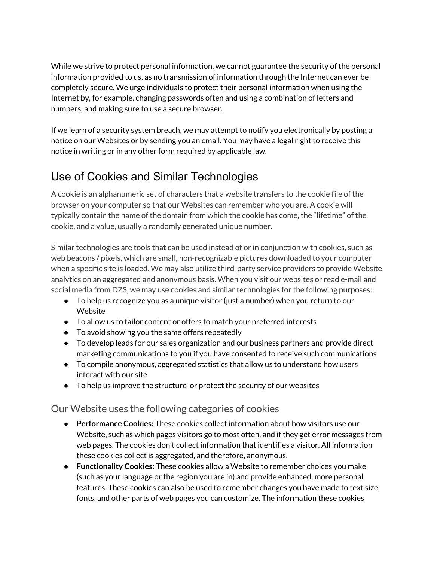While we strive to protect personal information, we cannot guarantee the security of the personal information provided to us, as no transmission of information through the Internet can ever be completely secure. We urge individuals to protect their personal information when using the Internet by, for example, changing passwords often and using a combination of letters and numbers, and making sure to use a secure browser.

If we learn of a security system breach, we may attempt to notify you electronically by posting a notice on our Websites or by sending you an email. You may have a legal right to receive this notice in writing or in any other form required by applicable law.

#### Use of Cookies and Similar Technologies

A cookie is an alphanumeric set of characters that a website transfers to the cookie file of the browser on your computer so that our Websites can remember who you are. A cookie will typically contain the name of the domain from which the cookie has come, the "lifetime" of the cookie, and a value, usually a randomly generated unique number.

Similar technologies are tools that can be used instead of or in conjunction with cookies, such as web beacons / pixels, which are small, non-recognizable pictures downloaded to your computer when a specific site is loaded. We may also utilize third-party service providers to provide Website analytics on an aggregated and anonymous basis. When you visit our websites or read e-mail and social media from DZS, we may use cookies and similar technologies for the following purposes:

- To help us recognize you as a unique visitor (just a number) when you return to our Website
- To allow us to tailor content or offers to match your preferred interests
- To avoid showing you the same offers repeatedly
- To develop leads for our sales organization and our business partners and provide direct marketing communications to you if you have consented to receive such communications
- To compile anonymous, aggregated statistics that allow us to understand how users interact with our site
- To help us improve the structure or protect the security of our websites

#### Our Website uses the following categories of cookies

- **Performance Cookies:** These cookies collect information about how visitors use our Website, such as which pages visitors go to most often, and if they get error messages from web pages. The cookies don't collect information that identifies a visitor. All information these cookies collect is aggregated, and therefore, anonymous.
- **Functionality Cookies:** These cookies allow a Website to remember choices you make (such as your language or the region you are in) and provide enhanced, more personal features. These cookies can also be used to remember changes you have made to text size, fonts, and other parts of web pages you can customize. The information these cookies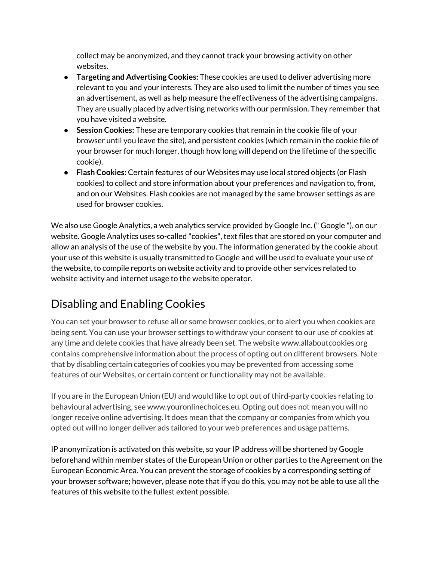collect may be anonymized, and they cannot track your browsing activity on other websites.

- **Targeting and Advertising Cookies:** These cookies are used to deliver advertising more relevant to you and your interests. They are also used to limit the number of times you see an advertisement, as well as help measure the effectiveness of the advertising campaigns. They are usually placed by advertising networks with our permission. They remember that you have visited a website.
- **Session Cookies:** These are temporary cookies that remain in the cookie file of your browser until you leave the site), and persistent cookies (which remain in the cookie file of your browser for much longer, though how long will depend on the lifetime of the specific cookie).
- **Flash Cookies:** Certain features of our Websites may use local stored objects (or Flash cookies) to collect and store information about your preferences and navigation to, from, and on our Websites. Flash cookies are not managed by the same browser settings as are used for browser cookies.

We also use Google Analytics, a web analytics service provided by Google Inc. (" Google "), on our website. Google Analytics uses so-called "cookies", text files that are stored on your computer and allow an analysis of the use of the website by you. The information generated by the cookie about your use of this website is usually transmitted to Google and will be used to evaluate your use of the website, to compile reports on website activity and to provide other services related to website activity and internet usage to the website operator.

#### Disabling and Enabling Cookies

You can set your browser to refuse all or some browser cookies, or to alert you when cookies are being sent. You can use your browser settings to withdraw your consent to our use of cookies at any time and delete cookies that have already been set. The website www.allaboutcookies.org contains comprehensive information about the process of opting out on different browsers. Note that by disabling certain categories of cookies you may be prevented from accessing some features of our Websites, or certain content or functionality may not be available.

If you are in the European Union (EU) and would like to opt out of third-party cookies relating to behavioural advertising, see www.youronlinechoices.eu. Opting out does not mean you will no longer receive online advertising. It does mean that the company or companies from which you opted out will no longer deliver ads tailored to your web preferences and usage patterns.

IP anonymization is activated on this website, so your IP address will be shortened by Google beforehand within member states of the European Union or other parties to the Agreement on the European Economic Area. You can prevent the storage of cookies by a corresponding setting of your browser software; however, please note that if you do this, you may not be able to use all the features of this website to the fullest extent possible.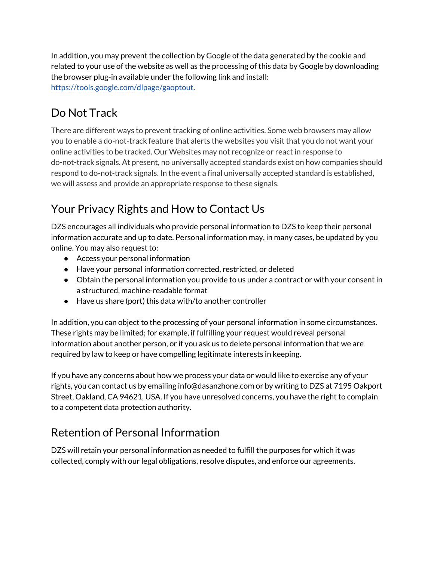In addition, you may prevent the collection by Google of the data generated by the cookie and related to your use of the website as well as the processing of this data by Google by downloading the browser plug-in available under the following link and install: [https://tools.google.com/dlpage/gaoptout.](https://tools.google.com/dlpage/gaoptout)

## Do Not Track

There are different ways to prevent tracking of online activities. Some web browsers may allow you to enable a do-not-track feature that alerts the websites you visit that you do not want your online activities to be tracked. Our Websites may not recognize or react in response to do-not-track signals. At present, no universally accepted standards exist on how companies should respond to do-not-track signals. In the event a final universally accepted standard is established, we will assess and provide an appropriate response to these signals.

#### Your Privacy Rights and How to Contact Us

DZS encourages all individuals who provide personal information to DZS to keep their personal information accurate and up to date. Personal information may, in many cases, be updated by you online. You may also request to:

- Access your personal information
- Have your personal information corrected, restricted, or deleted
- Obtain the personal information you provide to us under a contract or with your consent in a structured, machine-readable format
- Have us share (port) this data with/to another controller

In addition, you can object to the processing of your personal information in some circumstances. These rights may be limited; for example, if fulfilling your request would reveal personal information about another person, or if you ask us to delete personal information that we are required by law to keep or have compelling legitimate interests in keeping.

If you have any concerns about how we process your data or would like to exercise any of your rights, you can contact us by emailing info@dasanzhone.com or by writing to DZS at 7195 Oakport Street, Oakland, CA 94621, USA. If you have unresolved concerns, you have the right to complain to a competent data protection authority.

#### Retention of Personal Information

DZS will retain your personal information as needed to fulfill the purposes for which it was collected, comply with our legal obligations, resolve disputes, and enforce our agreements.